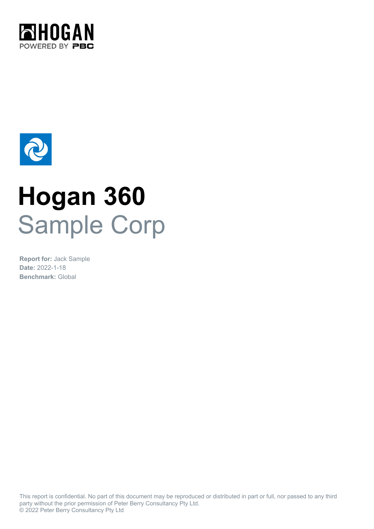



# **Hogan 360** Sample Corp

**Date:** 2022-1-18 **Benchmark:** Global **Report for:** Jack Sample

This report is confidential. No part of this document may be reproduced or distributed in part or full, nor passed to any third party without the prior permission of Peter Berry Consultancy Pty Ltd. © 2022 Peter Berry Consultancy Pty Ltd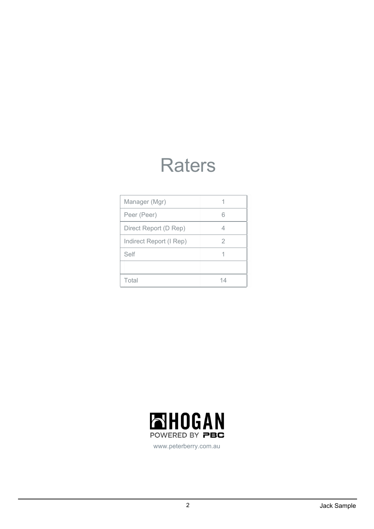### **Raters**

| Manager (Mgr)           |    |
|-------------------------|----|
| Peer (Peer)             |    |
| Direct Report (D Rep)   | 4  |
| Indirect Report (I Rep) | 2  |
| Self                    |    |
|                         |    |
| Total                   | 14 |



www.peterberry.com.au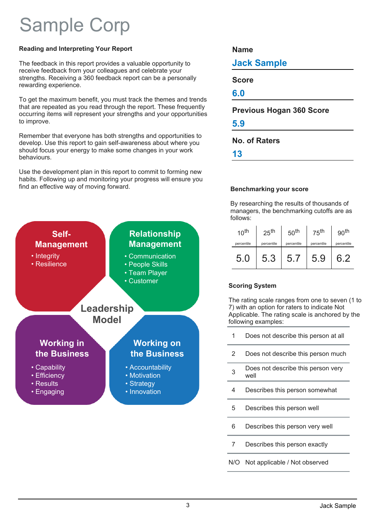### Sample Corp

#### **Reading and Interpreting Your Report**

The feedback in this report provides a valuable opportunity to receive feedback from your colleagues and celebrate your strengths. Receiving a 360 feedback report can be a personally rewarding experience.

To get the maximum benefit, you must track the themes and trends that are repeated as you read through the report. These frequently occurring items will represent your strengths and your opportunities to improve.

Remember that everyone has both strengths and opportunities to develop. Use this report to gain self-awareness about where you should focus your energy to make some changes in your work behaviours.

Use the development plan in this report to commit to forming new habits. Following up and monitoring your progress will ensure you find an effective way of moving forward.



#### **Name**

**Jack Sample**

**Score**

**6.0**

#### **Previous Hogan 360 Score**

**5.9**

**No. of Raters**

**13**

#### **Benchmarking your score**

By researching the results of thousands of managers, the benchmarking cutoffs are as follows:

| 10 <sup>th</sup> | 25 <sup>th</sup> | 50 <sup>th</sup> | 75 <sup>th</sup> | 90 <sup>th</sup> |
|------------------|------------------|------------------|------------------|------------------|
| percentile       | percentile       | percentile       | percentile       | percentile       |
| 5.0              | 5.3              | 5.1              | 5.9              |                  |

#### **Scoring System**

The rating scale ranges from one to seven (1 to 7) with an option for raters to indicate Not Applicable. The rating scale is anchored by the following examples:

- Does not describe this person at all 1
- Does not describe this person much 2
- Does not describe this person very well 3
- Describes this person somewhat 4
- Describes this person well 5
- Describes this person very well 6
- Describes this person exactly 7
- N/O Not applicable / Not observed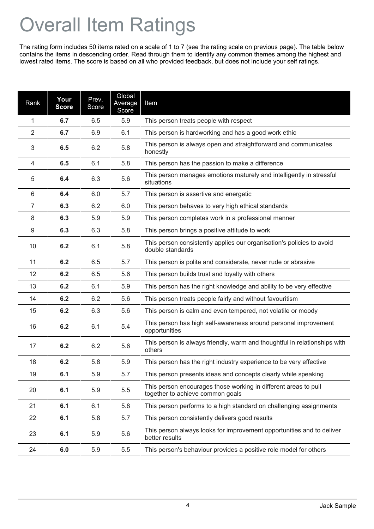## Overall Item Ratings

The rating form includes 50 items rated on a scale of 1 to 7 (see the rating scale on previous page). The table below contains the items in descending order. Read through them to identify any common themes among the highest and lowest rated items. The score is based on all who provided feedback, but does not include your self ratings.

| Rank           | Your<br><b>Score</b> | Prev.<br>Score | Global<br>Average<br>Score | Item                                                                                                |
|----------------|----------------------|----------------|----------------------------|-----------------------------------------------------------------------------------------------------|
| 1              | 6.7                  | 6.5            | 5.9                        | This person treats people with respect                                                              |
| $\overline{2}$ | 6.7                  | 6.9            | 6.1                        | This person is hardworking and has a good work ethic                                                |
| 3              | 6.5                  | 6.2            | 5.8                        | This person is always open and straightforward and communicates<br>honestly                         |
| 4              | 6.5                  | 6.1            | 5.8                        | This person has the passion to make a difference                                                    |
| 5              | 6.4                  | 6.3            | 5.6                        | This person manages emotions maturely and intelligently in stressful<br>situations                  |
| 6              | 6.4                  | 6.0            | 5.7                        | This person is assertive and energetic                                                              |
| 7              | 6.3                  | 6.2            | 6.0                        | This person behaves to very high ethical standards                                                  |
| 8              | 6.3                  | 5.9            | 5.9                        | This person completes work in a professional manner                                                 |
| 9              | 6.3                  | 6.3            | 5.8                        | This person brings a positive attitude to work                                                      |
| 10             | 6.2                  | 6.1            | 5.8                        | This person consistently applies our organisation's policies to avoid<br>double standards           |
| 11             | 6.2                  | 6.5            | 5.7                        | This person is polite and considerate, never rude or abrasive                                       |
| 12             | 6.2                  | 6.5            | 5.6                        | This person builds trust and loyalty with others                                                    |
| 13             | 6.2                  | 6.1            | 5.9                        | This person has the right knowledge and ability to be very effective                                |
| 14             | 6.2                  | 6.2            | 5.6                        | This person treats people fairly and without favouritism                                            |
| 15             | 6.2                  | 6.3            | 5.6                        | This person is calm and even tempered, not volatile or moody                                        |
| 16             | 6.2                  | 6.1            | 5.4                        | This person has high self-awareness around personal improvement<br>opportunities                    |
| 17             | 6.2                  | 6.2            | 5.6                        | This person is always friendly, warm and thoughtful in relationships with<br>others                 |
| 18             | 6.2                  | 5.8            | 5.9                        | This person has the right industry experience to be very effective                                  |
| 19             | 6.1                  | 5.9            | 5.7                        | This person presents ideas and concepts clearly while speaking                                      |
| 20             | 6.1                  | 5.9            | 5.5                        | This person encourages those working in different areas to pull<br>together to achieve common goals |
| 21             | 6.1                  | 6.1            | 5.8                        | This person performs to a high standard on challenging assignments                                  |
| 22             | 6.1                  | 5.8            | 5.7                        | This person consistently delivers good results                                                      |
| 23             | 6.1                  | 5.9            | 5.6                        | This person always looks for improvement opportunities and to deliver<br>better results             |
| 24             | 6.0                  | 5.9            | 5.5                        | This person's behaviour provides a positive role model for others                                   |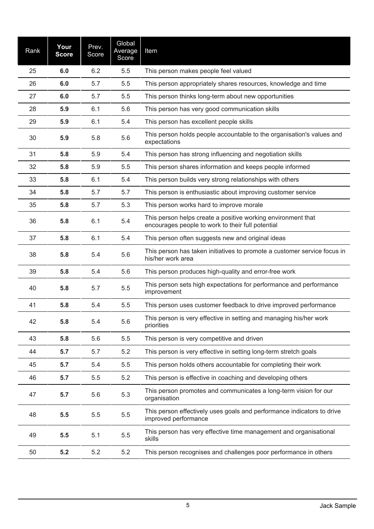| Rank | Your<br><b>Score</b> | Prev.<br>Score | Global<br>Average<br>Score | Item                                                                                                              |
|------|----------------------|----------------|----------------------------|-------------------------------------------------------------------------------------------------------------------|
| 25   | 6.0                  | 6.2            | 5.5                        | This person makes people feel valued                                                                              |
| 26   | 6.0                  | 5.7            | 5.5                        | This person appropriately shares resources, knowledge and time                                                    |
| 27   | 6.0                  | 5.7            | 5.5                        | This person thinks long-term about new opportunities                                                              |
| 28   | 5.9                  | 6.1            | 5.6                        | This person has very good communication skills                                                                    |
| 29   | 5.9                  | 6.1            | 5.4                        | This person has excellent people skills                                                                           |
| 30   | 5.9                  | 5.8            | 5.6                        | This person holds people accountable to the organisation's values and<br>expectations                             |
| 31   | 5.8                  | 5.9            | 5.4                        | This person has strong influencing and negotiation skills                                                         |
| 32   | 5.8                  | 5.9            | 5.5                        | This person shares information and keeps people informed                                                          |
| 33   | 5.8                  | 6.1            | 5.4                        | This person builds very strong relationships with others                                                          |
| 34   | 5.8                  | 5.7            | 5.7                        | This person is enthusiastic about improving customer service                                                      |
| 35   | 5.8                  | 5.7            | 5.3                        | This person works hard to improve morale                                                                          |
| 36   | 5.8                  | 6.1            | 5.4                        | This person helps create a positive working environment that<br>encourages people to work to their full potential |
| 37   | 5.8                  | 6.1            | 5.4                        | This person often suggests new and original ideas                                                                 |
| 38   | 5.8                  | 5.4            | 5.6                        | This person has taken initiatives to promote a customer service focus in<br>his/her work area                     |
| 39   | 5.8                  | 5.4            | 5.6                        | This person produces high-quality and error-free work                                                             |
| 40   | 5.8                  | 5.7            | 5.5                        | This person sets high expectations for performance and performance<br>improvement                                 |
| 41   | 5.8                  | 5.4            | 5.5                        | This person uses customer feedback to drive improved performance                                                  |
| 42   | 5.8                  | 5.4            | 5.6                        | This person is very effective in setting and managing his/her work<br>priorities                                  |
| 43   | 5.8                  | 5.6            | 5.5                        | This person is very competitive and driven                                                                        |
| 44   | 5.7                  | 5.7            | 5.2                        | This person is very effective in setting long-term stretch goals                                                  |
| 45   | 5.7                  | 5.4            | 5.5                        | This person holds others accountable for completing their work                                                    |
| 46   | 5.7                  | 5.5            | 5.2                        | This person is effective in coaching and developing others                                                        |
| 47   | 5.7                  | 5.6            | 5.3                        | This person promotes and communicates a long-term vision for our<br>organisation                                  |
| 48   | 5.5                  | 5.5            | 5.5                        | This person effectively uses goals and performance indicators to drive<br>improved performance                    |
| 49   | 5.5                  | 5.1            | 5.5                        | This person has very effective time management and organisational<br>skills                                       |
| 50   | 5.2                  | 5.2            | 5.2                        | This person recognises and challenges poor performance in others                                                  |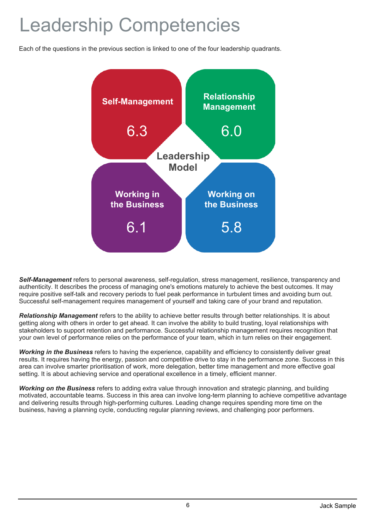### Leadership Competencies

Each of the questions in the previous section is linked to one of the four leadership quadrants.



*Self-Management* refers to personal awareness, self-regulation, stress management, resilience, transparency and authenticity. It describes the process of managing one's emotions maturely to achieve the best outcomes. It may require positive self-talk and recovery periods to fuel peak performance in turbulent times and avoiding burn out. Successful self-management requires management of yourself and taking care of your brand and reputation.

*Relationship Management* refers to the ability to achieve better results through better relationships. It is about getting along with others in order to get ahead. It can involve the ability to build trusting, loyal relationships with stakeholders to support retention and performance. Successful relationship management requires recognition that your own level of performance relies on the performance of your team, which in turn relies on their engagement.

*Working in the Business* refers to having the experience, capability and efficiency to consistently deliver great results. It requires having the energy, passion and competitive drive to stay in the performance zone. Success in this area can involve smarter prioritisation of work, more delegation, better time management and more effective goal setting. It is about achieving service and operational excellence in a timely, efficient manner.

*Working on the Business* refers to adding extra value through innovation and strategic planning, and building motivated, accountable teams. Success in this area can involve long-term planning to achieve competitive advantage and delivering results through high-performing cultures. Leading change requires spending more time on the business, having a planning cycle, conducting regular planning reviews, and challenging poor performers.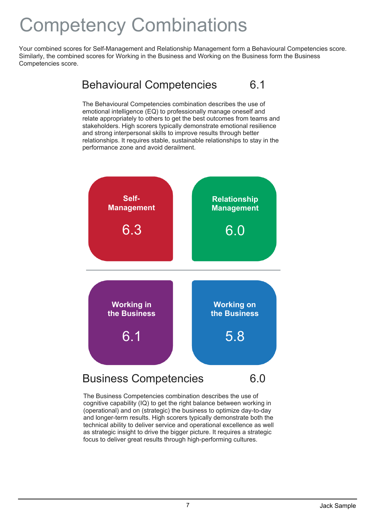### Competency Combinations

Your combined scores for Self-Management and Relationship Management form a Behavioural Competencies score. Similarly, the combined scores for Working in the Business and Working on the Business form the Business Competencies score.



The Behavioural Competencies combination describes the use of emotional intelligence (EQ) to professionally manage oneself and relate appropriately to others to get the best outcomes from teams and stakeholders. High scorers typically demonstrate emotional resilience and strong interpersonal skills to improve results through better relationships. It requires stable, sustainable relationships to stay in the performance zone and avoid derailment.



The Business Competencies combination describes the use of cognitive capability (IQ) to get the right balance between working in (operational) and on (strategic) the business to optimize day-to-day and longer-term results. High scorers typically demonstrate both the technical ability to deliver service and operational excellence as well as strategic insight to drive the bigger picture. It requires a strategic focus to deliver great results through high-performing cultures.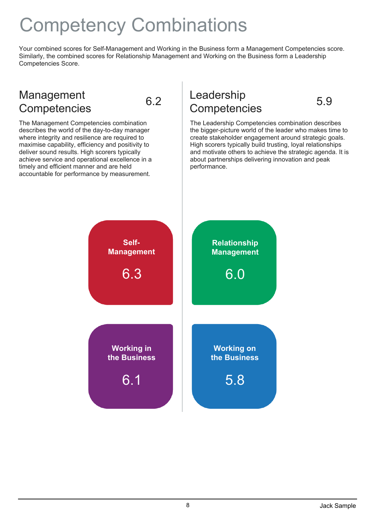### Competency Combinations

Your combined scores for Self-Management and Working in the Business form a Management Competencies score. Similarly, the combined scores for Relationship Management and Working on the Business form a Leadership Competencies Score.

### Example 19 and the Competencies<br>
Competencies 6.2 Competencies 5.9 Management



The Management Competencies combination describes the world of the day-to-day manager where integrity and resilience are required to maximise capability, efficiency and positivity to deliver sound results. High scorers typically achieve service and operational excellence in a timely and efficient manner and are held accountable for performance by measurement.

## Leadership

The Leadership Competencies combination describes the bigger-picture world of the leader who makes time to create stakeholder engagement around strategic goals. High scorers typically build trusting, loyal relationships and motivate others to achieve the strategic agenda. It is about partnerships delivering innovation and peak performance.

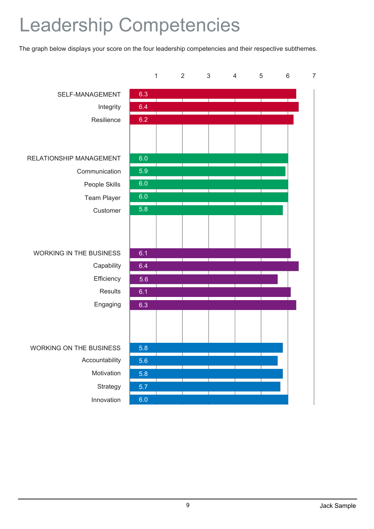### Leadership Competencies

The graph below displays your score on the four leadership competencies and their respective subthemes.

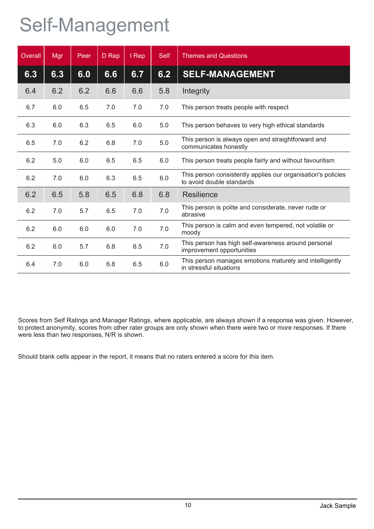### Self-Management

| Overall | Mgr | Peer | D Rep | I Rep | <b>Self</b> | <b>Themes and Questions</b>                                                               |
|---------|-----|------|-------|-------|-------------|-------------------------------------------------------------------------------------------|
| 6.3     | 6.3 | 6.0  | 6.6   | 6.7   | 6.2         | <b>SELF-MANAGEMENT</b>                                                                    |
| 6.4     | 6.2 | 6.2  | 6.6   | 6.6   | 5.8         | Integrity                                                                                 |
| 6.7     | 6.0 | 6.5  | 7.0   | 7.0   | 7.0         | This person treats people with respect                                                    |
| 6.3     | 6.0 | 6.3  | 6.5   | 6.0   | 5.0         | This person behaves to very high ethical standards                                        |
| 6.5     | 7.0 | 6.2  | 6.8   | 7.0   | 5.0         | This person is always open and straightforward and<br>communicates honestly               |
| 6.2     | 5.0 | 6.0  | 6.5   | 6.5   | 6.0         | This person treats people fairly and without favouritism                                  |
| 6.2     | 7.0 | 6.0  | 6.3   | 6.5   | 6.0         | This person consistently applies our organisation's policies<br>to avoid double standards |
| 6.2     | 6.5 | 5.8  | 6.5   | 6.8   | 6.8         | Resilience                                                                                |
| 6.2     | 7.0 | 5.7  | 6.5   | 7.0   | 7.0         | This person is polite and considerate, never rude or<br>abrasive                          |
| 6.2     | 6.0 | 6.0  | 6.0   | 7.0   | 7.0         | This person is calm and even tempered, not volatile or<br>moody                           |
| 6.2     | 6.0 | 5.7  | 6.8   | 6.5   | 7.0         | This person has high self-awareness around personal<br>improvement opportunities          |
| 6.4     | 7.0 | 6.0  | 6.8   | 6.5   | 6.0         | This person manages emotions maturely and intelligently<br>in stressful situations        |

Scores from Self Ratings and Manager Ratings, where applicable, are always shown if a response was given. However, to protect anonymity, scores from other rater groups are only shown when there were two or more responses. If there were less than two responses, N/R is shown.

Should blank cells appear in the report, it means that no raters entered a score for this item.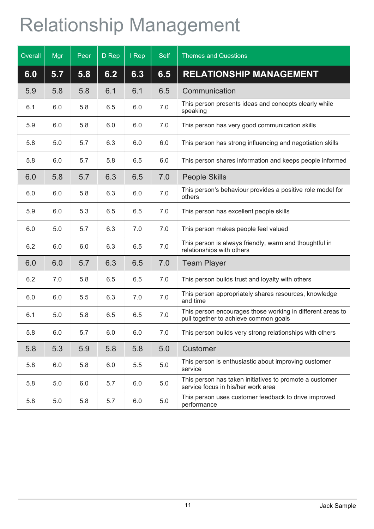## Relationship Management

| Overall | Mgr | Peer | D Rep | I Rep | <b>Self</b> | <b>Themes and Questions</b>                                                                         |
|---------|-----|------|-------|-------|-------------|-----------------------------------------------------------------------------------------------------|
| 6.0     | 5.7 | 5.8  | 6.2   | 6.3   | 6.5         | <b>RELATIONSHIP MANAGEMENT</b>                                                                      |
| 5.9     | 5.8 | 5.8  | 6.1   | 6.1   | 6.5         | Communication                                                                                       |
| 6.1     | 6.0 | 5.8  | 6.5   | 6.0   | 7.0         | This person presents ideas and concepts clearly while<br>speaking                                   |
| 5.9     | 6.0 | 5.8  | 6.0   | 6.0   | 7.0         | This person has very good communication skills                                                      |
| 5.8     | 5.0 | 5.7  | 6.3   | 6.0   | 6.0         | This person has strong influencing and negotiation skills                                           |
| 5.8     | 6.0 | 5.7  | 5.8   | 6.5   | 6.0         | This person shares information and keeps people informed                                            |
| 6.0     | 5.8 | 5.7  | 6.3   | 6.5   | 7.0         | <b>People Skills</b>                                                                                |
| 6.0     | 6.0 | 5.8  | 6.3   | 6.0   | 7.0         | This person's behaviour provides a positive role model for<br>others                                |
| 5.9     | 6.0 | 5.3  | 6.5   | 6.5   | 7.0         | This person has excellent people skills                                                             |
| 6.0     | 5.0 | 5.7  | 6.3   | 7.0   | 7.0         | This person makes people feel valued                                                                |
| 6.2     | 6.0 | 6.0  | 6.3   | 6.5   | 7.0         | This person is always friendly, warm and thoughtful in<br>relationships with others                 |
| 6.0     | 6.0 | 5.7  | 6.3   | 6.5   | 7.0         | <b>Team Player</b>                                                                                  |
| 6.2     | 7.0 | 5.8  | 6.5   | 6.5   | 7.0         | This person builds trust and loyalty with others                                                    |
| 6.0     | 6.0 | 5.5  | 6.3   | 7.0   | 7.0         | This person appropriately shares resources, knowledge<br>and time                                   |
| 6.1     | 5.0 | 5.8  | 6.5   | 6.5   | 7.0         | This person encourages those working in different areas to<br>pull together to achieve common goals |
| 5.8     | 6.0 | 5.7  | 6.0   | 6.0   | 7.0         | This person builds very strong relationships with others                                            |
| 5.8     | 5.3 | 5.9  | 5.8   | 5.8   | 5.0         | Customer                                                                                            |
| 5.8     | 6.0 | 5.8  | 6.0   | 5.5   | $5.0\,$     | This person is enthusiastic about improving customer<br>service                                     |
| 5.8     | 5.0 | 6.0  | 5.7   | 6.0   | 5.0         | This person has taken initiatives to promote a customer<br>service focus in his/her work area       |
| 5.8     | 5.0 | 5.8  | 5.7   | 6.0   | $5.0\,$     | This person uses customer feedback to drive improved<br>performance                                 |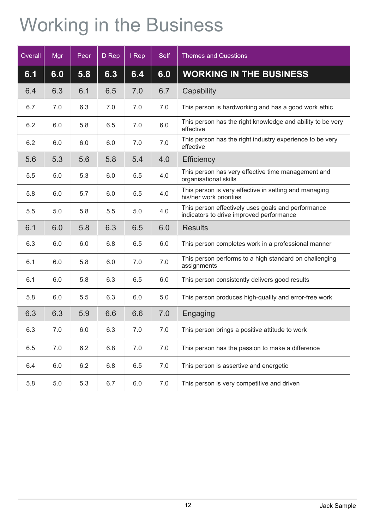## Working in the Business

| Overall | Mgr | Peer | D Rep | I Rep | <b>Self</b> | <b>Themes and Questions</b>                                                                    |
|---------|-----|------|-------|-------|-------------|------------------------------------------------------------------------------------------------|
| 6.1     | 6.0 | 5.8  | 6.3   | 6.4   | 6.0         | <b>WORKING IN THE BUSINESS</b>                                                                 |
| 6.4     | 6.3 | 6.1  | 6.5   | 7.0   | 6.7         | Capability                                                                                     |
| 6.7     | 7.0 | 6.3  | 7.0   | 7.0   | 7.0         | This person is hardworking and has a good work ethic                                           |
| 6.2     | 6.0 | 5.8  | 6.5   | 7.0   | 6.0         | This person has the right knowledge and ability to be very<br>effective                        |
| 6.2     | 6.0 | 6.0  | 6.0   | 7.0   | 7.0         | This person has the right industry experience to be very<br>effective                          |
| 5.6     | 5.3 | 5.6  | 5.8   | 5.4   | 4.0         | <b>Efficiency</b>                                                                              |
| 5.5     | 5.0 | 5.3  | 6.0   | 5.5   | 4.0         | This person has very effective time management and<br>organisational skills                    |
| 5.8     | 6.0 | 5.7  | 6.0   | 5.5   | 4.0         | This person is very effective in setting and managing<br>his/her work priorities               |
| 5.5     | 5.0 | 5.8  | 5.5   | 5.0   | 4.0         | This person effectively uses goals and performance<br>indicators to drive improved performance |
| 6.1     | 6.0 | 5.8  | 6.3   | 6.5   | 6.0         | <b>Results</b>                                                                                 |
| 6.3     | 6.0 | 6.0  | 6.8   | 6.5   | 6.0         | This person completes work in a professional manner                                            |
| 6.1     | 6.0 | 5.8  | 6.0   | 7.0   | 7.0         | This person performs to a high standard on challenging<br>assignments                          |
| 6.1     | 6.0 | 5.8  | 6.3   | 6.5   | 6.0         | This person consistently delivers good results                                                 |
| 5.8     | 6.0 | 5.5  | 6.3   | 6.0   | 5.0         | This person produces high-quality and error-free work                                          |
| 6.3     | 6.3 | 5.9  | 6.6   | 6.6   | 7.0         | Engaging                                                                                       |
| 6.3     | 7.0 | 6.0  | 6.3   | 7.0   | 7.0         | This person brings a positive attitude to work                                                 |
| 6.5     | 7.0 | 6.2  | 6.8   | 7.0   | 7.0         | This person has the passion to make a difference                                               |
| 6.4     | 6.0 | 6.2  | 6.8   | 6.5   | 7.0         | This person is assertive and energetic                                                         |
| 5.8     | 5.0 | 5.3  | 6.7   | 6.0   | $7.0$       | This person is very competitive and driven                                                     |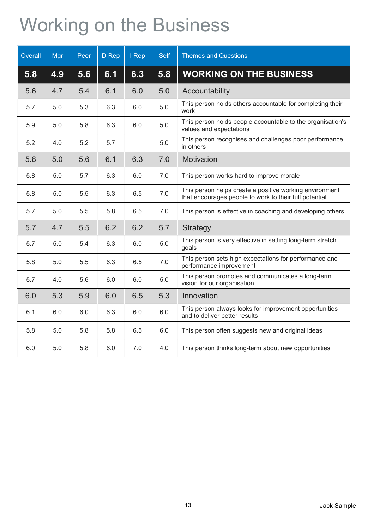## Working on the Business

| Overall | Mgr | Peer | D Rep | I Rep | Self  | <b>Themes and Questions</b>                                                                                       |
|---------|-----|------|-------|-------|-------|-------------------------------------------------------------------------------------------------------------------|
| 5.8     | 4.9 | 5.6  | 6.1   | 6.3   | 5.8   | <b>WORKING ON THE BUSINESS</b>                                                                                    |
| 5.6     | 4.7 | 5.4  | 6.1   | 6.0   | 5.0   | Accountability                                                                                                    |
| 5.7     | 5.0 | 5.3  | 6.3   | 6.0   | $5.0$ | This person holds others accountable for completing their<br>work                                                 |
| 5.9     | 5.0 | 5.8  | 6.3   | 6.0   | 5.0   | This person holds people accountable to the organisation's<br>values and expectations                             |
| 5.2     | 4.0 | 5.2  | 5.7   |       | 5.0   | This person recognises and challenges poor performance<br>in others                                               |
| 5.8     | 5.0 | 5.6  | 6.1   | 6.3   | 7.0   | Motivation                                                                                                        |
| 5.8     | 5.0 | 5.7  | 6.3   | 6.0   | 7.0   | This person works hard to improve morale                                                                          |
| 5.8     | 5.0 | 5.5  | 6.3   | 6.5   | 7.0   | This person helps create a positive working environment<br>that encourages people to work to their full potential |
| 5.7     | 5.0 | 5.5  | 5.8   | 6.5   | 7.0   | This person is effective in coaching and developing others                                                        |
| 5.7     | 4.7 | 5.5  | 6.2   | 6.2   | 5.7   | <b>Strategy</b>                                                                                                   |
| 5.7     | 5.0 | 5.4  | 6.3   | 6.0   | 5.0   | This person is very effective in setting long-term stretch<br>goals                                               |
| 5.8     | 5.0 | 5.5  | 6.3   | 6.5   | 7.0   | This person sets high expectations for performance and<br>performance improvement                                 |
| 5.7     | 4.0 | 5.6  | 6.0   | 6.0   | 5.0   | This person promotes and communicates a long-term<br>vision for our organisation                                  |
| 6.0     | 5.3 | 5.9  | 6.0   | 6.5   | 5.3   | Innovation                                                                                                        |
| 6.1     | 6.0 | 6.0  | 6.3   | 6.0   | 6.0   | This person always looks for improvement opportunities<br>and to deliver better results                           |
| 5.8     | 5.0 | 5.8  | 5.8   | 6.5   | 6.0   | This person often suggests new and original ideas                                                                 |
| 6.0     | 5.0 | 5.8  | 6.0   | 7.0   | 4.0   | This person thinks long-term about new opportunities                                                              |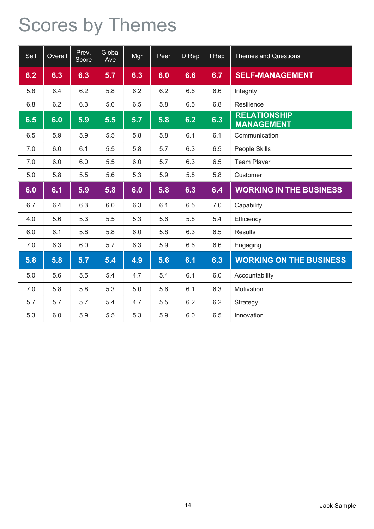### Scores by Themes

| Self | Overall | Prev.<br>Score | Global<br>Ave | Mgr | Peer | D Rep | I Rep | <b>Themes and Questions</b>              |
|------|---------|----------------|---------------|-----|------|-------|-------|------------------------------------------|
| 6.2  | 6.3     | 6.3            | 5.7           | 6.3 | 6.0  | 6.6   | 6.7   | <b>SELF-MANAGEMENT</b>                   |
| 5.8  | 6.4     | 6.2            | 5.8           | 6.2 | 6.2  | 6.6   | 6.6   | Integrity                                |
| 6.8  | 6.2     | 6.3            | 5.6           | 6.5 | 5.8  | 6.5   | 6.8   | Resilience                               |
| 6.5  | 6.0     | 5.9            | 5.5           | 5.7 | 5.8  | 6.2   | 6.3   | <b>RELATIONSHIP</b><br><b>MANAGEMENT</b> |
| 6.5  | 5.9     | 5.9            | 5.5           | 5.8 | 5.8  | 6.1   | 6.1   | Communication                            |
| 7.0  | 6.0     | 6.1            | 5.5           | 5.8 | 5.7  | 6.3   | 6.5   | People Skills                            |
| 7.0  | 6.0     | 6.0            | 5.5           | 6.0 | 5.7  | 6.3   | 6.5   | <b>Team Player</b>                       |
| 5.0  | 5.8     | 5.5            | 5.6           | 5.3 | 5.9  | 5.8   | 5.8   | Customer                                 |
| 6.0  | 6.1     | 5.9            | 5.8           | 6.0 | 5.8  | 6.3   | 6.4   | <b>WORKING IN THE BUSINESS</b>           |
| 6.7  | 6.4     | 6.3            | 6.0           | 6.3 | 6.1  | 6.5   | 7.0   | Capability                               |
| 4.0  | 5.6     | 5.3            | 5.5           | 5.3 | 5.6  | 5.8   | 5.4   | Efficiency                               |
| 6.0  | 6.1     | 5.8            | 5.8           | 6.0 | 5.8  | 6.3   | 6.5   | <b>Results</b>                           |
| 7.0  | 6.3     | 6.0            | 5.7           | 6.3 | 5.9  | 6.6   | 6.6   | Engaging                                 |
| 5.8  | 5.8     | 5.7            | 5.4           | 4.9 | 5.6  | 6.1   | 6.3   | <b>WORKING ON THE BUSINESS</b>           |
| 5.0  | 5.6     | 5.5            | 5.4           | 4.7 | 5.4  | 6.1   | 6.0   | Accountability                           |
| 7.0  | 5.8     | 5.8            | 5.3           | 5.0 | 5.6  | 6.1   | 6.3   | Motivation                               |
| 5.7  | 5.7     | 5.7            | 5.4           | 4.7 | 5.5  | 6.2   | 6.2   | Strategy                                 |
| 5.3  | 6.0     | 5.9            | 5.5           | 5.3 | 5.9  | 6.0   | 6.5   | Innovation                               |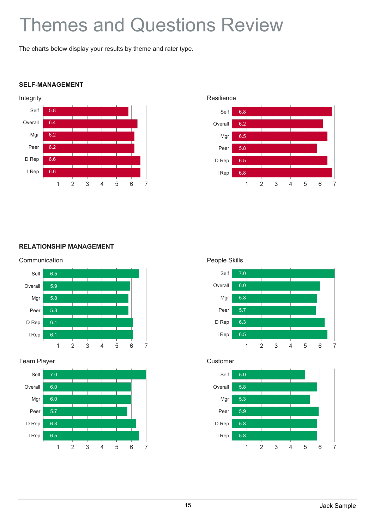### Themes and Questions Review

The charts below display your results by theme and rater type.

#### **SELF-MANAGEMENT**





#### **RELATIONSHIP MANAGEMENT**



#### Team Player







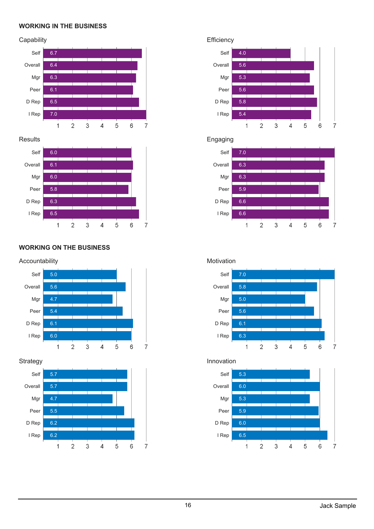#### **WORKING IN THE BUSINESS**

#### **Capability**



#### **Results**



#### **WORKING ON THE BUSINESS**

#### Accountability



 $\overline{7}$ 

#### **Strategy**



#### **Efficiency**



#### Engaging



### Motivation



### Innovation

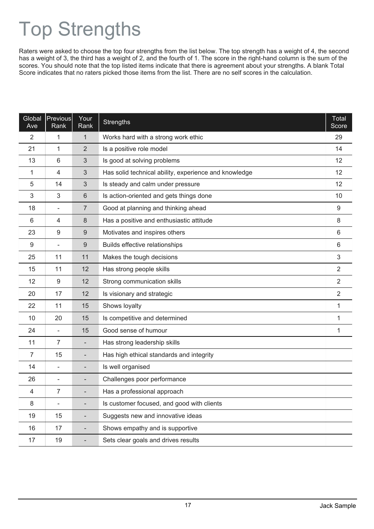## Top Strengths

Raters were asked to choose the top four strengths from the list below. The top strength has a weight of 4, the second has a weight of 3, the third has a weight of 2, and the fourth of 1. The score in the right-hand column is the sum of the scores. You should note that the top listed items indicate that there is agreement about your strengths. A blank Total Score indicates that no raters picked those items from the list. There are no self scores in the calculation.

| Global<br>Ave | <b>Previous</b><br>Rank  | Your<br>Rank                 | <b>Strengths</b>                                      | Total<br>Score |
|---------------|--------------------------|------------------------------|-------------------------------------------------------|----------------|
| 2             | 1                        | 1                            | Works hard with a strong work ethic                   | 29             |
| 21            | 1                        | 2                            | Is a positive role model                              | 14             |
| 13            | 6                        | 3                            | Is good at solving problems                           | 12             |
| 1             | 4                        | 3                            | Has solid technical ability, experience and knowledge | 12             |
| 5             | 14                       | 3                            | Is steady and calm under pressure                     | 12             |
| 3             | 3                        | $6\phantom{1}$               | Is action-oriented and gets things done               | 10             |
| 18            | $\overline{\phantom{a}}$ | 7                            | Good at planning and thinking ahead                   | 9              |
| 6             | 4                        | 8                            | Has a positive and enthusiastic attitude              | 8              |
| 23            | 9                        | $9$                          | Motivates and inspires others                         | 6              |
| 9             | $\overline{\phantom{a}}$ | $9$                          | Builds effective relationships                        | 6              |
| 25            | 11                       | 11                           | Makes the tough decisions                             | $\mathfrak{S}$ |
| 15            | 11                       | 12                           | Has strong people skills                              | $\overline{2}$ |
| 12            | $\boldsymbol{9}$         | 12                           | Strong communication skills                           | $\overline{2}$ |
| 20            | 17                       | 12                           | Is visionary and strategic                            | $\overline{2}$ |
| 22            | 11                       | 15                           | Shows loyalty                                         | 1              |
| 10            | 20                       | 15                           | Is competitive and determined                         | 1              |
| 24            | $\overline{\phantom{0}}$ | 15                           | Good sense of humour                                  | 1              |
| 11            | $\overline{7}$           | $\qquad \qquad \blacksquare$ | Has strong leadership skills                          |                |
| 7             | 15                       | $\overline{\phantom{0}}$     | Has high ethical standards and integrity              |                |
| 14            | $\overline{\phantom{0}}$ |                              | Is well organised                                     |                |
| 26            | $\overline{\phantom{a}}$ |                              | Challenges poor performance                           |                |
| 4             | 7                        |                              | Has a professional approach                           |                |
| 8             |                          |                              | Is customer focused, and good with clients            |                |
| 19            | 15                       |                              | Suggests new and innovative ideas                     |                |
| 16            | 17                       |                              | Shows empathy and is supportive                       |                |
| 17            | 19                       |                              | Sets clear goals and drives results                   |                |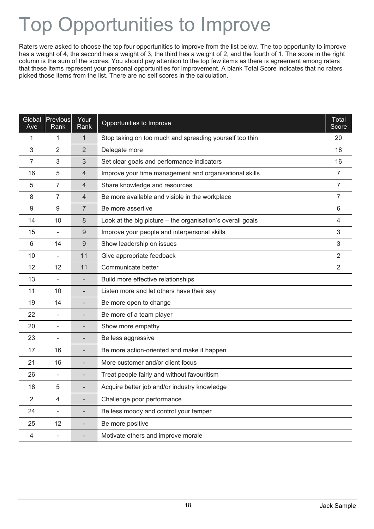## Top Opportunities to Improve

Raters were asked to choose the top four opportunities to improve from the list below. The top opportunity to improve has a weight of 4, the second has a weight of 3, the third has a weight of 2, and the fourth of 1. The score in the right column is the sum of the scores. You should pay attention to the top few items as there is agreement among raters that these items represent your personal opportunities for improvement. A blank Total Score indicates that no raters picked those items from the list. There are no self scores in the calculation.

| Global<br>Ave | Previous<br>Rank         | Your<br>Rank             | Opportunities to Improve                                   | <b>Total</b><br>Score |
|---------------|--------------------------|--------------------------|------------------------------------------------------------|-----------------------|
| 1             | 1                        | 1                        | Stop taking on too much and spreading yourself too thin    | 20                    |
| 3             | 2                        | 2                        | Delegate more                                              | 18                    |
| 7             | 3                        | 3                        | Set clear goals and performance indicators                 | 16                    |
| 16            | 5                        | 4                        | Improve your time management and organisational skills     | 7                     |
| 5             | $\overline{7}$           | $\overline{4}$           | Share knowledge and resources                              | $\overline{7}$        |
| 8             | $\overline{7}$           | $\overline{4}$           | Be more available and visible in the workplace             | $\overline{7}$        |
| 9             | 9                        | 7                        | Be more assertive                                          | 6                     |
| 14            | 10                       | $\,8\,$                  | Look at the big picture - the organisation's overall goals | $\overline{4}$        |
| 15            | $\overline{\phantom{0}}$ | 9                        | Improve your people and interpersonal skills               | 3                     |
| 6             | 14                       | 9                        | Show leadership on issues                                  | 3                     |
| 10            | $\overline{a}$           | 11                       | Give appropriate feedback                                  | $\overline{2}$        |
| 12            | 12                       | 11                       | Communicate better                                         | $\overline{2}$        |
| 13            | $\qquad \qquad -$        |                          | Build more effective relationships                         |                       |
| 11            | 10                       |                          | Listen more and let others have their say                  |                       |
| 19            | 14                       |                          | Be more open to change                                     |                       |
| 22            | $\overline{\phantom{0}}$ |                          | Be more of a team player                                   |                       |
| 20            | $\overline{a}$           |                          | Show more empathy                                          |                       |
| 23            | $\overline{a}$           |                          | Be less aggressive                                         |                       |
| 17            | 16                       | $\overline{\phantom{0}}$ | Be more action-oriented and make it happen                 |                       |
| 21            | 16                       |                          | More customer and/or client focus                          |                       |
| 26            | $\overline{a}$           |                          | Treat people fairly and without favouritism                |                       |
| 18            | 5                        |                          | Acquire better job and/or industry knowledge               |                       |
| 2             | 4                        |                          | Challenge poor performance                                 |                       |
| 24            | $\overline{\phantom{0}}$ |                          | Be less moody and control your temper                      |                       |
| 25            | 12                       | $\overline{\phantom{a}}$ | Be more positive                                           |                       |
| 4             |                          |                          | Motivate others and improve morale                         |                       |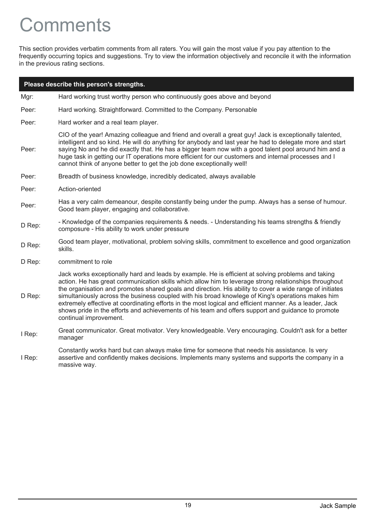### **Comments**

This section provides verbatim comments from all raters. You will gain the most value if you pay attention to the frequently occurring topics and suggestions. Try to view the information objectively and reconcile it with the information in the previous rating sections.

|        | Please describe this person's strengths.                                                                                                                                                                                                                                                                                                                                                                                                                                                                                                                                                                                                                                |
|--------|-------------------------------------------------------------------------------------------------------------------------------------------------------------------------------------------------------------------------------------------------------------------------------------------------------------------------------------------------------------------------------------------------------------------------------------------------------------------------------------------------------------------------------------------------------------------------------------------------------------------------------------------------------------------------|
| Mgr:   | Hard working trust worthy person who continuously goes above and beyond                                                                                                                                                                                                                                                                                                                                                                                                                                                                                                                                                                                                 |
| Peer:  | Hard working. Straightforward. Committed to the Company. Personable                                                                                                                                                                                                                                                                                                                                                                                                                                                                                                                                                                                                     |
| Peer:  | Hard worker and a real team player.                                                                                                                                                                                                                                                                                                                                                                                                                                                                                                                                                                                                                                     |
| Peer:  | CIO of the year! Amazing colleague and friend and overall a great guy! Jack is exceptionally talented,<br>intelligent and so kind. He will do anything for anybody and last year he had to delegate more and start<br>saying No and he did exactly that. He has a bigger team now with a good talent pool around him and a<br>huge task in getting our IT operations more efficient for our customers and internal processes and I<br>cannot think of anyone better to get the job done exceptionally well!                                                                                                                                                             |
| Peer:  | Breadth of business knowledge, incredibly dedicated, always available                                                                                                                                                                                                                                                                                                                                                                                                                                                                                                                                                                                                   |
| Peer:  | Action-oriented                                                                                                                                                                                                                                                                                                                                                                                                                                                                                                                                                                                                                                                         |
| Peer:  | Has a very calm demeanour, despite constantly being under the pump. Always has a sense of humour.<br>Good team player, engaging and collaborative.                                                                                                                                                                                                                                                                                                                                                                                                                                                                                                                      |
| D Rep: | - Knowledge of the companies requirements & needs. - Understanding his teams strengths & friendly<br>composure - His ability to work under pressure                                                                                                                                                                                                                                                                                                                                                                                                                                                                                                                     |
| D Rep: | Good team player, motivational, problem solving skills, commitment to excellence and good organization<br>skills.                                                                                                                                                                                                                                                                                                                                                                                                                                                                                                                                                       |
| D Rep: | commitment to role                                                                                                                                                                                                                                                                                                                                                                                                                                                                                                                                                                                                                                                      |
| D Rep: | Jack works exceptionally hard and leads by example. He is efficient at solving problems and taking<br>action. He has great communication skills which allow him to leverage strong relationships throughout<br>the organisation and promotes shared goals and direction. His ability to cover a wide range of initiates<br>simultaniously across the business coupled with his broad knowlege of King's operations makes him<br>extremely effective at coordinating efforts in the most logical and efficient manner. As a leader, Jack<br>shows pride in the efforts and achievements of his team and offers support and guidance to promote<br>continual improvement. |
| I Rep: | Great communicator. Great motivator. Very knowledgeable. Very encouraging. Couldn't ask for a better<br>manager                                                                                                                                                                                                                                                                                                                                                                                                                                                                                                                                                         |
|        | Constantly works hard but can always make time for someone that needs his assistance. Is very                                                                                                                                                                                                                                                                                                                                                                                                                                                                                                                                                                           |

I Rep: assertive and confidently makes decisions. Implements many systems and supports the company in a massive way.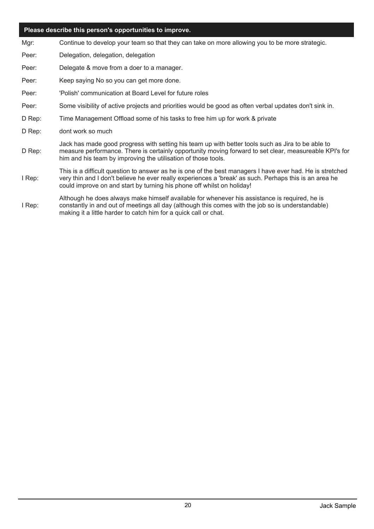#### **Please describe this person's opportunities to improve.**

- Mgr: Continue to develop your team so that they can take on more allowing you to be more strategic.
- Peer: Delegation, delegation, delegation
- Peer: Delegate & move from a doer to a manager.
- Peer: Keep saying No so you can get more done.
- Peer: 'Polish' communication at Board Level for future roles
- Peer: Some visibility of active projects and priorities would be good as often verbal updates don't sink in.
- D Rep: Time Management Offload some of his tasks to free him up for work & private
- D Rep: dont work so much
- D Rep: Jack has made good progress with setting his team up with better tools such as Jira to be able to measure performance. There is certainly opportunity moving forward to set clear, measureable KPI's for him and his team by improving the utilisation of those tools.
- I Rep: very thin and I don't believe he ever really experiences a 'break' as such. Perhaps this is an area he could improve on and start by turning his phone off whilst on holiday! This is a difficult question to answer as he is one of the best managers I have ever had. He is stretched
- I Rep: Although he does always make himself available for whenever his assistance is required, he is constantly in and out of meetings all day (although this comes with the job so is understandable) making it a little harder to catch him for a quick call or chat.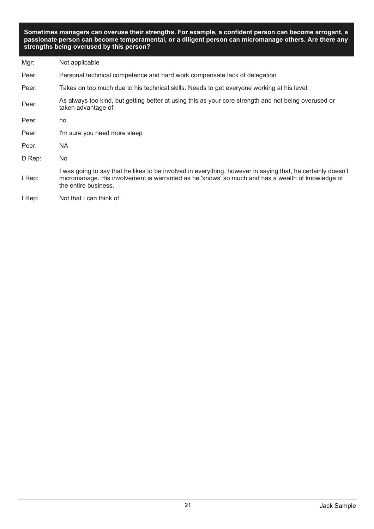**Sometimes managers can overuse their strengths. For example, a confident person can become arrogant, a passionate person can become temperamental, or a diligent person can micromanage others. Are there any strengths being overused by this person?**

| Mgr:   | Not applicable                                                                                                                                                                                                                          |
|--------|-----------------------------------------------------------------------------------------------------------------------------------------------------------------------------------------------------------------------------------------|
| Peer:  | Personal technical competence and hard work compensate lack of delegation                                                                                                                                                               |
| Peer:  | Takes on too much due to his technical skills. Needs to get everyone working at his level.                                                                                                                                              |
| Peer:  | As always too kind, but getting better at using this as your core strength and not being overused or<br>taken advantage of.                                                                                                             |
| Peer:  | no                                                                                                                                                                                                                                      |
| Peer:  | I'm sure you need more sleep                                                                                                                                                                                                            |
| Peer:  | NA.                                                                                                                                                                                                                                     |
| D Rep: | No.                                                                                                                                                                                                                                     |
| I Rep: | I was going to say that he likes to be involved in everything, however in saying that, he certainly doesn't<br>micromanage. His involvement is warranted as he 'knows' so much and has a wealth of knowledge of<br>the entire business. |
| I Rep: | Not that I can think of.                                                                                                                                                                                                                |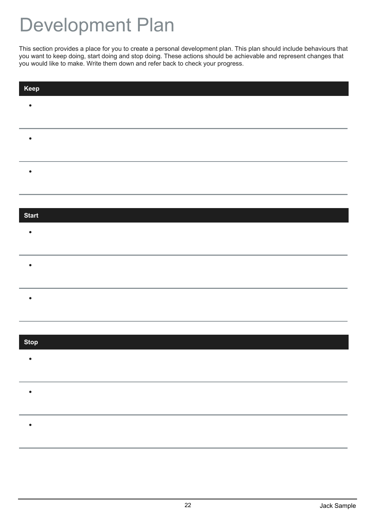### Development Plan

This section provides a place for you to create a personal development plan. This plan should include behaviours that you want to keep doing, start doing and stop doing. These actions should be achievable and represent changes that you would like to make. Write them down and refer back to check your progress.

| Keep         |  |
|--------------|--|
| $\bullet$    |  |
|              |  |
| $\bullet$    |  |
|              |  |
|              |  |
| é            |  |
|              |  |
|              |  |
| <b>Start</b> |  |
| $\bullet$    |  |
|              |  |
| $\bullet$    |  |
|              |  |
| $\bullet$    |  |
|              |  |
|              |  |
|              |  |
| <b>Stop</b>  |  |
| $\bullet$    |  |
|              |  |
| ٠            |  |
|              |  |
|              |  |
|              |  |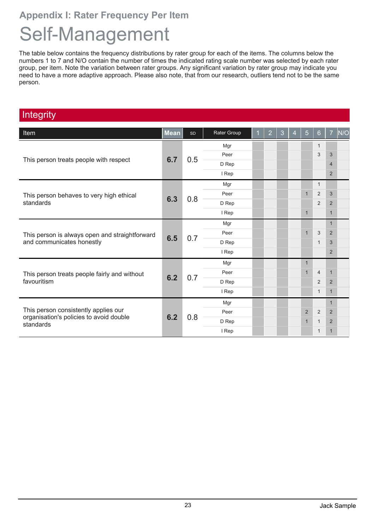### **Appendix I: Rater Frequency Per Item**

### Self-Management

The table below contains the frequency distributions by rater group for each of the items. The columns below the numbers 1 to 7 and N/O contain the number of times the indicated rating scale number was selected by each rater group, per item. Note the variation between rater groups. Any significant variation by rater group may indicate you need to have a more adaptive approach. Please also note, that from our research, outliers tend not to be the same person.

### **Integrity**

| <b>Item</b>                                          | <b>Mean</b> | SD  | Rater Group | $\overline{2}$ | 3   | $\overline{4}$ | $\overline{5}$ | 6              | $\overline{7}$ | N/O            |   |                |  |
|------------------------------------------------------|-------------|-----|-------------|----------------|-----|----------------|----------------|----------------|----------------|----------------|---|----------------|--|
|                                                      |             |     | Mgr         |                |     |                |                | $\mathbf{1}$   |                |                |   |                |  |
|                                                      | 6.7         | 0.5 | Peer        |                |     |                |                | 3              | 3              |                |   |                |  |
| This person treats people with respect               |             |     | D Rep       |                |     |                |                |                | $\overline{4}$ |                |   |                |  |
|                                                      |             |     | I Rep       |                |     |                |                |                | 2              |                |   |                |  |
|                                                      |             |     | Mgr         |                |     |                |                | $\overline{1}$ |                |                |   |                |  |
| This person behaves to very high ethical             | 6.3         |     | Peer        |                |     |                | $\mathbf 1$    | $\overline{2}$ | 3              |                |   |                |  |
| standards                                            |             | 0.8 | D Rep       |                |     |                |                | $\overline{2}$ | $\overline{2}$ |                |   |                |  |
|                                                      |             |     | I Rep       |                |     |                | $\mathbf{1}$   |                | $\mathbf{1}$   |                |   |                |  |
| This person is always open and straightforward       | 6.5         |     | Mgr         |                |     |                |                |                | $\mathbf{1}$   |                |   |                |  |
|                                                      |             |     |             |                | 0.7 | Peer           |                |                |                | $\mathbf{1}$   | 3 | $\overline{2}$ |  |
| and communicates honestly                            |             |     | D Rep       |                |     |                |                | $\mathbf{1}$   | 3              |                |   |                |  |
|                                                      |             |     | I Rep       |                |     |                |                |                | 2              |                |   |                |  |
|                                                      |             |     | Mgr         |                |     |                |                |                |                |                |   |                |  |
| This person treats people fairly and without         |             |     |             | Peer           |     |                |                | $\mathbf 1$    | $\overline{4}$ | $\mathbf{1}$   |   |                |  |
| favouritism                                          | 6.2         | 0.7 | D Rep       |                |     |                |                | $\overline{2}$ | $\overline{2}$ |                |   |                |  |
|                                                      |             |     | I Rep       |                |     |                |                | $\mathbf{1}$   | $\mathbf{1}$   |                |   |                |  |
|                                                      |             |     | Mgr         |                |     |                |                |                | $\mathbf{1}$   |                |   |                |  |
| This person consistently applies our                 | 6.2         |     | Peer        |                |     |                | $\overline{2}$ | $\overline{2}$ | 2              |                |   |                |  |
| organisation's policies to avoid double<br>standards |             |     | 0.8         | D Rep          |     |                |                | $\mathbf 1$    | $\mathbf 1$    | $\overline{2}$ |   |                |  |
|                                                      |             |     | I Rep       |                |     |                |                | $\mathbf{1}$   | $\mathbf 1$    |                |   |                |  |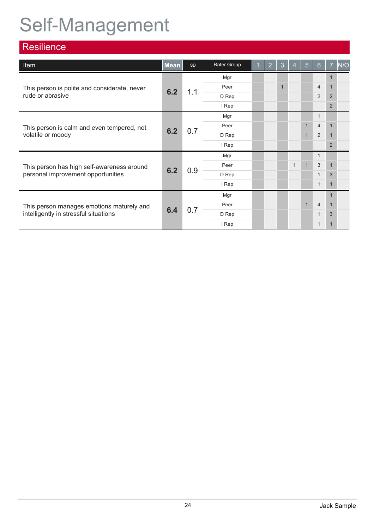## Self-Management

| <b>Resilience</b>                            |             |           |             |                |              |                |              |                  |                |             |                |   |     |       |  |  |  |  |              |   |  |
|----------------------------------------------|-------------|-----------|-------------|----------------|--------------|----------------|--------------|------------------|----------------|-------------|----------------|---|-----|-------|--|--|--|--|--------------|---|--|
| <b>Item</b>                                  | <b>Mean</b> | <b>SD</b> | Rater Group | $\overline{2}$ | 3            | $\overline{4}$ | 5            | $6 \overline{6}$ | $\overline{7}$ | N/O         |                |   |     |       |  |  |  |  |              |   |  |
|                                              |             |           | Mgr         |                |              |                |              |                  |                |             |                |   |     |       |  |  |  |  |              |   |  |
| This person is polite and considerate, never | 6.2         | 1.1       | Peer        |                | $\mathbf{1}$ |                |              | $\overline{4}$   | $\mathbf{1}$   |             |                |   |     |       |  |  |  |  |              |   |  |
| rude or abrasive                             |             |           | D Rep       |                |              |                |              | $\overline{2}$   | $\overline{2}$ |             |                |   |     |       |  |  |  |  |              |   |  |
|                                              |             |           | I Rep       |                |              |                |              |                  | 2              |             |                |   |     |       |  |  |  |  |              |   |  |
|                                              | 6.2         |           | Mgr         |                |              |                |              | $\mathbf{1}$     |                |             |                |   |     |       |  |  |  |  |              |   |  |
| This person is calm and even tempered, not   |             |           | Peer        |                |              |                |              | $\overline{4}$   | 1              |             |                |   |     |       |  |  |  |  |              |   |  |
| volatile or moody                            |             |           |             |                | 0.7          | D Rep          |              |                  |                | $\mathbf 1$ | $\overline{2}$ | 1 |     |       |  |  |  |  |              |   |  |
|                                              |             |           | I Rep       |                |              |                |              |                  | 2              |             |                |   |     |       |  |  |  |  |              |   |  |
|                                              |             |           | Mgr         |                |              |                |              | $\mathbf{1}$     |                |             |                |   |     |       |  |  |  |  |              |   |  |
| This person has high self-awareness around   |             |           | Peer        |                |              | $\mathbf{1}$   | $\mathbf{1}$ | 3                | $\mathbf{1}$   |             |                |   |     |       |  |  |  |  |              |   |  |
| personal improvement opportunities           | 6.2         |           |             |                |              |                |              |                  |                |             |                |   | 0.9 | D Rep |  |  |  |  | $\mathbf{1}$ | 3 |  |
|                                              |             |           | I Rep       |                |              |                |              | $\mathbf{1}$     | $\mathbf{1}$   |             |                |   |     |       |  |  |  |  |              |   |  |
|                                              |             |           | Mgr         |                |              |                |              |                  |                |             |                |   |     |       |  |  |  |  |              |   |  |
| This person manages emotions maturely and    |             |           | Peer        |                |              |                | $\mathbf{1}$ | $\overline{4}$   | $\mathbf{1}$   |             |                |   |     |       |  |  |  |  |              |   |  |
| intelligently in stressful situations        | 6.4         |           |             | 0.7            | D Rep        |                |              |                  |                | $\mathbf 1$ | 3              |   |     |       |  |  |  |  |              |   |  |
|                                              |             |           | I Rep       |                |              |                |              | $\mathbf 1$      | 1              |             |                |   |     |       |  |  |  |  |              |   |  |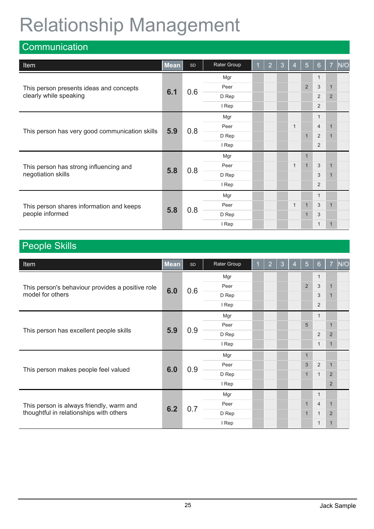## Relationship Management

| Communication                                  |             |     |             |                |   |                |                |                |                |              |              |   |              |   |
|------------------------------------------------|-------------|-----|-------------|----------------|---|----------------|----------------|----------------|----------------|--------------|--------------|---|--------------|---|
| Item                                           | <b>Mean</b> | SD  | Rater Group | $\overline{2}$ | 3 | $\overline{4}$ | 5              | 6              | $\overline{7}$ | N/O          |              |   |              |   |
|                                                |             |     | Mgr         |                |   |                |                | -1             |                |              |              |   |              |   |
| This person presents ideas and concepts        |             | 0.6 | Peer        |                |   |                | $\overline{2}$ | 3              | $\mathbf{1}$   |              |              |   |              |   |
| clearly while speaking                         | 6.1         |     | D Rep       |                |   |                |                | $\overline{2}$ | $\overline{2}$ |              |              |   |              |   |
|                                                |             |     | I Rep       |                |   |                |                | $\overline{2}$ |                |              |              |   |              |   |
|                                                | 5.9         |     | Mgr         |                |   |                |                | $\mathbf{1}$   |                |              |              |   |              |   |
|                                                |             |     |             | Peer           |   |                | $\mathbf 1$    |                | $\overline{4}$ | $\mathbf{1}$ |              |   |              |   |
| This person has very good communication skills |             |     | 0.8         | D Rep          |   |                |                | $\mathbf{1}$   | $\overline{2}$ | $\mathbf{1}$ |              |   |              |   |
|                                                |             |     | I Rep       |                |   |                |                | $\overline{2}$ |                |              |              |   |              |   |
|                                                |             |     | Mgr         |                |   |                |                |                |                |              |              |   |              |   |
| This person has strong influencing and         | 5.8         |     |             |                |   | 0.8            | Peer           |                |                | $\mathbf{1}$ | $\mathbf{1}$ | 3 | $\mathbf{1}$ |   |
| negotiation skills                             |             |     |             |                |   | D Rep          |                |                |                |              | 3            | 1 |              |   |
|                                                |             |     | I Rep       |                |   |                |                | $\overline{2}$ |                |              |              |   |              |   |
|                                                |             |     | Mgr         |                |   |                |                | $\mathbf{1}$   |                |              |              |   |              |   |
| This person shares information and keeps       | 5.8         |     |             |                |   | 0.8            | Peer           |                |                | $\mathbf{1}$ | $\mathbf{1}$ | 3 | $\mathbf{1}$ |   |
| people informed                                |             |     |             |                |   |                |                |                | D Rep          |              |              |   | $\mathbf 1$  | 3 |
|                                                |             |     | I Rep       |                |   |                |                | $\mathbf 1$    |                |              |              |   |              |   |

### People Skills

| <b>Item</b>                                      | <b>Mean</b> | <b>SD</b>         | Rater Group | и | $\overline{2}$ | 3            | $\overline{4}$ | 5            | 6              | $\overline{7}$ | N/O |
|--------------------------------------------------|-------------|-------------------|-------------|---|----------------|--------------|----------------|--------------|----------------|----------------|-----|
|                                                  |             |                   | Mgr         |   |                |              |                |              | -1             |                |     |
| This person's behaviour provides a positive role | 6.0         | 0.6               | Peer        |   |                |              |                | 2            | 3              | $\mathbf{1}$   |     |
| model for others                                 |             |                   | D Rep       |   |                |              |                |              | 3              | $\mathbf 1$    |     |
|                                                  |             |                   | I Rep       |   |                |              |                |              | $\overline{2}$ |                |     |
|                                                  |             |                   | Mgr         |   |                |              |                |              | $\mathbf 1$    |                |     |
|                                                  | 5.9         |                   | Peer        |   |                |              |                | 5            |                | $\mathbf 1$    |     |
| This person has excellent people skills          |             | 0.9               | D Rep       |   |                |              |                |              | $\overline{2}$ | $\overline{2}$ |     |
|                                                  |             |                   | I Rep       |   |                |              |                |              | $\mathbf{1}$   | $\mathbf{1}$   |     |
|                                                  |             |                   | Mgr         |   |                |              |                | $\mathbf 1$  |                |                |     |
| This person makes people feel valued             |             |                   | Peer        |   |                |              |                | 3            | $\overline{2}$ | $\mathbf{1}$   |     |
|                                                  |             |                   | D Rep       |   |                |              |                | $\mathbf 1$  | $\mathbf{1}$   | $\overline{2}$ |     |
|                                                  |             |                   | I Rep       |   |                |              |                |              |                | 2              |     |
|                                                  |             | 6.0<br>0.9<br>Mgr |             |   |                | $\mathbf{1}$ |                |              |                |                |     |
| This person is always friendly, warm and         | 6.2         | 0.7               | Peer        |   |                |              |                | $\mathbf{1}$ | $\overline{4}$ | $\mathbf{1}$   |     |
| thoughtful in relationships with others          |             |                   | D Rep       |   |                |              |                | $\mathbf{1}$ | $\mathbf{1}$   | $\overline{2}$ |     |
|                                                  |             |                   | I Rep       |   |                |              |                |              | $\mathbf 1$    | $\mathbf{1}$   |     |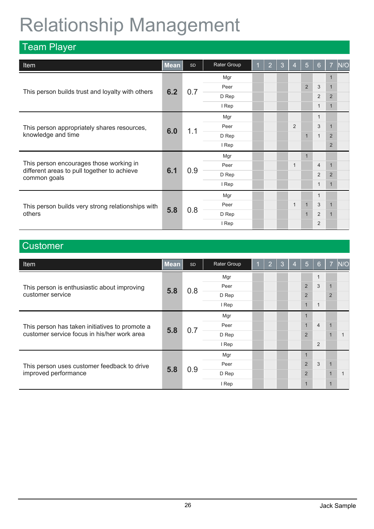### Relationship Management

| <b>Team Player</b>                                          |             |           |             |                |   |                |                |                  |                |              |              |                |              |                |       |  |  |  |  |                |                |  |
|-------------------------------------------------------------|-------------|-----------|-------------|----------------|---|----------------|----------------|------------------|----------------|--------------|--------------|----------------|--------------|----------------|-------|--|--|--|--|----------------|----------------|--|
| <b>Item</b>                                                 | <b>Mean</b> | <b>SD</b> | Rater Group | $\overline{2}$ | 3 | $\overline{4}$ | 5              | $6 \overline{6}$ | $\overline{7}$ | N/O          |              |                |              |                |       |  |  |  |  |                |                |  |
|                                                             |             |           | Mgr         |                |   |                |                |                  |                |              |              |                |              |                |       |  |  |  |  |                |                |  |
|                                                             | 6.2         | 0.7       | Peer        |                |   |                | $\overline{2}$ | 3                | $\mathbf{1}$   |              |              |                |              |                |       |  |  |  |  |                |                |  |
| This person builds trust and loyalty with others            |             |           | D Rep       |                |   |                |                | $\overline{2}$   | $\overline{2}$ |              |              |                |              |                |       |  |  |  |  |                |                |  |
|                                                             |             |           | I Rep       |                |   |                |                | $\overline{1}$   | $\mathbf{1}$   |              |              |                |              |                |       |  |  |  |  |                |                |  |
|                                                             |             |           | Mgr         |                |   |                |                | $\overline{1}$   |                |              |              |                |              |                |       |  |  |  |  |                |                |  |
| This person appropriately shares resources,                 |             | 1.1       | Peer        |                |   | 2              |                | 3                | $\mathbf{1}$   |              |              |                |              |                |       |  |  |  |  |                |                |  |
| knowledge and time                                          | 6.0         |           |             |                |   | D Rep          |                |                  |                | $\mathbf{1}$ | $\mathbf{1}$ | $\overline{2}$ |              |                |       |  |  |  |  |                |                |  |
|                                                             |             |           | I Rep       |                |   |                |                |                  | $\overline{2}$ |              |              |                |              |                |       |  |  |  |  |                |                |  |
|                                                             |             |           | Mgr         |                |   |                |                |                  |                |              |              |                |              |                |       |  |  |  |  |                |                |  |
| This person encourages those working in                     |             | 0.9       | Peer        |                |   | $\mathbf{1}$   |                | $\overline{4}$   | $\mathbf{1}$   |              |              |                |              |                |       |  |  |  |  |                |                |  |
| different areas to pull together to achieve<br>common goals | 6.1         |           |             |                |   |                |                |                  |                |              |              |                |              |                | D Rep |  |  |  |  | $\overline{2}$ | $\overline{2}$ |  |
|                                                             |             |           | I Rep       |                |   |                |                | $\mathbf 1$      | $\mathbf{1}$   |              |              |                |              |                |       |  |  |  |  |                |                |  |
|                                                             |             |           | Mgr         |                |   |                |                | $\mathbf{1}$     |                |              |              |                |              |                |       |  |  |  |  |                |                |  |
| This person builds very strong relationships with           | 5.8         |           |             |                |   |                | Peer           |                  |                | $\mathbf{1}$ | $\mathbf{1}$ | 3              | $\mathbf{1}$ |                |       |  |  |  |  |                |                |  |
| others                                                      |             |           |             |                |   |                |                | 0.8              | D Rep          |              |              |                | $\mathbf{1}$ | $\overline{2}$ |       |  |  |  |  |                |                |  |
|                                                             |             |           | I Rep       |                |   |                |                | $\overline{2}$   |                |              |              |                |              |                |       |  |  |  |  |                |                |  |

### **Customer**

| <b>Item</b>                                    | <b>Mean</b> | <b>SD</b> | Rater Group | и | $\overline{2}$ | 3   | 4     | $\sqrt{5}$     | 6              | $\overline{7}$ | N/O |                |  |                |   |  |                |
|------------------------------------------------|-------------|-----------|-------------|---|----------------|-----|-------|----------------|----------------|----------------|-----|----------------|--|----------------|---|--|----------------|
|                                                |             |           | Mgr         |   |                |     |       |                | 1              |                |     |                |  |                |   |  |                |
| This person is enthusiastic about improving    | 5.8         | 0.8       | Peer        |   |                |     |       | 2              | 3              | $\blacksquare$ |     |                |  |                |   |  |                |
| customer service                               |             |           | D Rep       |   |                |     |       | $\overline{2}$ |                | $\overline{2}$ |     |                |  |                |   |  |                |
|                                                |             |           | I Rep       |   |                |     |       | $\mathbf{1}$   | $\mathbf{1}$   |                |     |                |  |                |   |  |                |
|                                                |             |           | Mgr         |   |                |     |       |                |                |                |     |                |  |                |   |  |                |
| This person has taken initiatives to promote a | 5.8         | 0.7       | Peer        |   |                |     |       |                | $\overline{4}$ |                |     |                |  |                |   |  |                |
| customer service focus in his/her work area    |             |           |             |   |                |     |       |                |                | D Rep          |     |                |  |                | 2 |  | $\overline{1}$ |
|                                                |             |           | I Rep       |   |                |     |       |                | 2              |                |     |                |  |                |   |  |                |
|                                                |             |           | Mgr         |   |                |     |       |                |                |                |     |                |  |                |   |  |                |
| This person uses customer feedback to drive    | 5.8         |           | Peer        |   |                |     |       | 2              | 3              |                |     |                |  |                |   |  |                |
| improved performance                           |             |           |             |   |                | 0.9 | D Rep |                |                |                |     | $\overline{2}$ |  | $\overline{1}$ |   |  |                |
|                                                |             |           | I Rep       |   |                |     |       |                |                | 1              |     |                |  |                |   |  |                |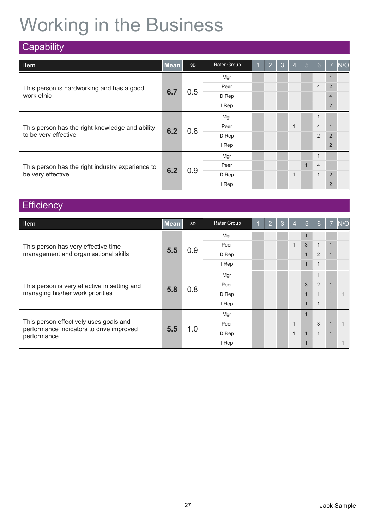## Working in the Business

| Capability                                       |             |     |             |   |                |      |                |                |                  |                |     |                |              |  |
|--------------------------------------------------|-------------|-----|-------------|---|----------------|------|----------------|----------------|------------------|----------------|-----|----------------|--------------|--|
| <b>Item</b>                                      | <b>Mean</b> | SD  | Rater Group | и | $\overline{2}$ | 3    | $\overline{4}$ | $\overline{5}$ | $6 \overline{6}$ | $\overline{7}$ | N/O |                |              |  |
|                                                  |             |     | Mgr         |   |                |      |                |                |                  |                |     |                |              |  |
| This person is hardworking and has a good        |             |     | Peer        |   |                |      |                |                | $\overline{4}$   | $\overline{2}$ |     |                |              |  |
| work ethic                                       | 6.7         | 0.5 | D Rep       |   |                |      |                |                |                  | $\overline{4}$ |     |                |              |  |
|                                                  |             |     | I Rep       |   |                |      |                |                |                  | $\overline{2}$ |     |                |              |  |
|                                                  | 6.2         |     | Mgr         |   |                |      |                |                | $\mathbf{1}$     |                |     |                |              |  |
| This person has the right knowledge and ability  |             |     |             |   | 0.8            | Peer |                |                |                  | $\mathbf{1}$   |     | $\overline{4}$ | $\mathbf{1}$ |  |
| to be very effective                             |             |     | D Rep       |   |                |      |                |                | $\overline{2}$   | $\overline{2}$ |     |                |              |  |
|                                                  |             |     | I Rep       |   |                |      |                |                |                  | 2              |     |                |              |  |
|                                                  |             |     | Mgr         |   |                |      |                |                | $\mathbf{1}$     |                |     |                |              |  |
| This person has the right industry experience to | 6.2         |     | Peer        |   |                |      |                | $\mathbf{1}$   | $\overline{4}$   | $\mathbf{1}$   |     |                |              |  |
| be very effective                                |             | 0.9 | D Rep       |   |                |      | $\mathbf{1}$   |                | $\mathbf{1}$     | $\overline{2}$ |     |                |              |  |
|                                                  |             |     | I Rep       |   |                |      |                |                |                  | $\overline{2}$ |     |                |              |  |

### **Efficiency**

| <b>Item</b>                                             | <b>Mean</b> | <b>SD</b> | Rater Group | 1 | $\overline{2}$ | 3 | $\overline{4}$ | 5              | 6            | 7            | N/O          |                |              |                |  |  |  |  |
|---------------------------------------------------------|-------------|-----------|-------------|---|----------------|---|----------------|----------------|--------------|--------------|--------------|----------------|--------------|----------------|--|--|--|--|
|                                                         |             |           | Mgr         |   |                |   |                |                |              |              |              |                |              |                |  |  |  |  |
| This person has very effective time                     |             |           | Peer        |   |                |   | $\mathbf{1}$   | 3              | $\mathbf{1}$ | 1            |              |                |              |                |  |  |  |  |
| management and organisational skills                    | 5.5         | 0.9       | D Rep       |   |                |   |                | $\mathbf{1}$   | 2            | 1            |              |                |              |                |  |  |  |  |
|                                                         |             |           | I Rep       |   |                |   |                | $\mathbf{1}$   | $\mathbf{1}$ |              |              |                |              |                |  |  |  |  |
|                                                         | 5.8         |           | Mgr         |   |                |   |                |                | $\mathbf 1$  |              |              |                |              |                |  |  |  |  |
| This person is very effective in setting and            |             |           | Peer<br>0.8 |   |                | 3 | 2              |                |              |              |              |                |              |                |  |  |  |  |
| managing his/her work priorities                        |             |           |             |   | D Rep          |   |                |                |              | $\mathbf{1}$ | $\mathbf{1}$ | $\overline{1}$ |              |                |  |  |  |  |
|                                                         |             |           | I Rep       |   |                |   |                | $\blacksquare$ | $\mathbf 1$  |              |              |                |              |                |  |  |  |  |
|                                                         | 5.5         |           | 1.0         |   |                |   |                |                |              | Mgr          |              |                |              |                |  |  |  |  |
| This person effectively uses goals and                  |             |           |             |   | Peer           |   |                |                | $\mathbf{1}$ |              | 3            |                |              |                |  |  |  |  |
| performance indicators to drive improved<br>performance |             |           |             |   |                |   | D Rep          |                |              |              | $\mathbf{1}$ | $\mathbf{1}$   | $\mathbf{1}$ | $\overline{1}$ |  |  |  |  |
|                                                         |             |           | I Rep       |   |                |   |                |                |              |              |              |                |              |                |  |  |  |  |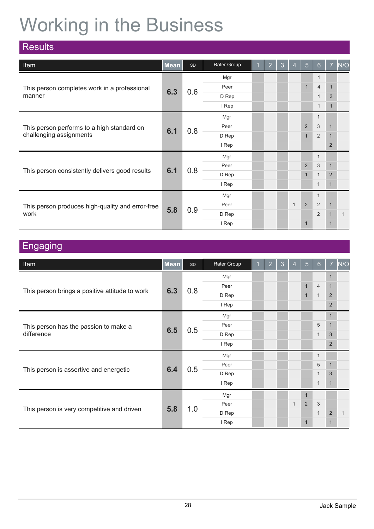## Working in the Business

| <b>Results</b>                                   |             |     |             |                |       |                |             |                  |                |     |              |              |  |       |  |  |  |              |              |                |  |
|--------------------------------------------------|-------------|-----|-------------|----------------|-------|----------------|-------------|------------------|----------------|-----|--------------|--------------|--|-------|--|--|--|--------------|--------------|----------------|--|
| Item                                             | <b>Mean</b> | SD  | Rater Group | $\overline{2}$ | 3     | $\overline{4}$ | 5           | $6 \overline{6}$ | $\overline{7}$ | N/O |              |              |  |       |  |  |  |              |              |                |  |
|                                                  |             |     | Mgr         |                |       |                |             | $\mathbf 1$      |                |     |              |              |  |       |  |  |  |              |              |                |  |
| This person completes work in a professional     | 6.3         |     | Peer        |                |       |                | $\mathbf 1$ | $\overline{4}$   | $\mathbf{1}$   |     |              |              |  |       |  |  |  |              |              |                |  |
| manner                                           |             | 0.6 | D Rep       |                |       |                |             | $\mathbf 1$      | $\mathfrak{Z}$ |     |              |              |  |       |  |  |  |              |              |                |  |
|                                                  |             |     | I Rep       |                |       |                |             | $\mathbf 1$      | $\mathbf{1}$   |     |              |              |  |       |  |  |  |              |              |                |  |
|                                                  | 6.1         |     | Mgr         |                |       |                |             | $\mathbf{1}$     |                |     |              |              |  |       |  |  |  |              |              |                |  |
| This person performs to a high standard on       |             |     | Peer        |                |       |                | 2           | 3                | $\mathbf{1}$   |     |              |              |  |       |  |  |  |              |              |                |  |
| challenging assignments                          |             |     |             | 0.8            | D Rep |                |             |                  | $\mathbf{1}$   | 2   | $\mathbf{1}$ |              |  |       |  |  |  |              |              |                |  |
|                                                  |             |     | I Rep       |                |       |                |             |                  | 2              |     |              |              |  |       |  |  |  |              |              |                |  |
|                                                  |             |     | Mgr         |                |       |                |             | $\mathbf{1}$     |                |     |              |              |  |       |  |  |  |              |              |                |  |
|                                                  |             | 0.8 | Peer        |                |       |                | 2           | $\mathbf{3}$     | $\mathbf{1}$   |     |              |              |  |       |  |  |  |              |              |                |  |
| This person consistently delivers good results   | 6.1         |     |             |                |       |                |             |                  |                |     |              |              |  | D Rep |  |  |  | $\mathbf{1}$ | $\mathbf{1}$ | $\overline{2}$ |  |
|                                                  |             |     | I Rep       |                |       |                |             | $\mathbf{1}$     | $\mathbf{1}$   |     |              |              |  |       |  |  |  |              |              |                |  |
|                                                  |             |     | Mgr         |                |       |                |             | $\mathbf{1}$     |                |     |              |              |  |       |  |  |  |              |              |                |  |
| This person produces high-quality and error-free | 5.8         |     |             |                |       | Peer           |             |                  | $\mathbf{1}$   | 2   | 2            | $\mathbf{1}$ |  |       |  |  |  |              |              |                |  |
| work                                             |             |     |             | 0.9            | D Rep |                |             |                  |                | 2   | $\mathbf{1}$ | $\mathbf{1}$ |  |       |  |  |  |              |              |                |  |
|                                                  |             |     | I Rep       |                |       |                | $\mathbf 1$ |                  | $\overline{1}$ |     |              |              |  |       |  |  |  |              |              |                |  |

### **Engaging**

| <b>Item</b>                                    | Mean | SD  | Rater Group | 1 | $\overline{2}$ | 3 | $\overline{4}$ | $\overline{5}$ | $6 \overline{6}$ | $\overline{7}$ | N/O          |
|------------------------------------------------|------|-----|-------------|---|----------------|---|----------------|----------------|------------------|----------------|--------------|
|                                                |      |     | Mgr         |   |                |   |                |                |                  | 1              |              |
|                                                | 6.3  | 0.8 | Peer        |   |                |   |                | $\mathbf{1}$   | $\overline{4}$   | $\mathbf{1}$   |              |
| This person brings a positive attitude to work |      |     | D Rep       |   |                |   |                | $\mathbf{1}$   | $\mathbf{1}$     | $\overline{2}$ |              |
|                                                |      |     | I Rep       |   |                |   |                |                |                  | 2              |              |
|                                                |      |     | Mgr         |   |                |   |                |                |                  | $\mathbf{1}$   |              |
| This person has the passion to make a          | 6.5  | 0.5 | Peer        |   |                |   |                |                | 5                | $\mathbf{1}$   |              |
| difference                                     |      |     | D Rep       |   |                |   |                |                | $\mathbf{1}$     | 3              |              |
|                                                |      |     | I Rep       |   |                |   |                |                |                  | 2              |              |
|                                                |      |     | Mgr         |   |                |   |                |                | $\mathbf{1}$     |                |              |
| This person is assertive and energetic         | 6.4  | 0.5 | Peer        |   |                |   |                |                | 5                | $\mathbf{1}$   |              |
|                                                |      |     | D Rep       |   |                |   |                |                | $\mathbf{1}$     | 3              |              |
|                                                |      |     | I Rep       |   |                |   |                |                | $\mathbf{1}$     | $\mathbf{1}$   |              |
|                                                |      |     | Mgr         |   |                |   |                |                |                  |                |              |
|                                                | 5.8  | 1.0 | Peer        |   |                |   | $\mathbf{1}$   | 2              | $\mathbf{3}$     |                |              |
| This person is very competitive and driven     |      |     | D Rep       |   |                |   |                |                | $\mathbf{1}$     | $\sqrt{2}$     | $\mathbf{1}$ |
|                                                |      |     | I Rep       |   |                |   |                | $\mathbf{1}$   |                  | $\mathbf{1}$   |              |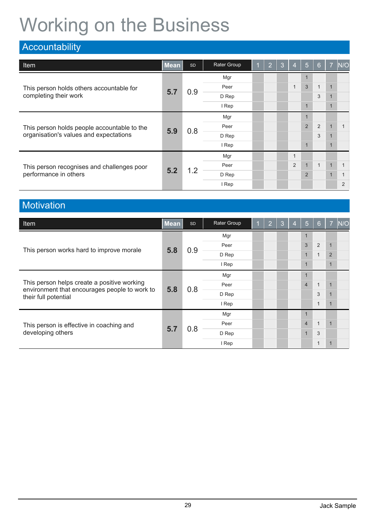## Working on the Business

| Accountability                                                      |             |           |             |   |                |   |                |                |                |                |                |
|---------------------------------------------------------------------|-------------|-----------|-------------|---|----------------|---|----------------|----------------|----------------|----------------|----------------|
| <b>Item</b>                                                         | <b>Mean</b> | <b>SD</b> | Rater Group | и | $\overline{2}$ | 3 | $\overline{4}$ | 5              | 6              | $\overline{7}$ | N/O            |
| This person holds others accountable for<br>completing their work   |             |           | Mgr         |   |                |   |                |                |                |                |                |
|                                                                     | 5.7         |           | Peer        |   |                |   | $\overline{1}$ | 3              | $\overline{1}$ |                |                |
|                                                                     |             | 0.9       | D Rep       |   |                |   |                |                | 3              |                |                |
|                                                                     |             |           | I Rep       |   |                |   |                | $\overline{1}$ |                |                |                |
| This person holds people accountable to the                         |             |           | Mgr         |   |                |   |                |                |                |                |                |
|                                                                     | 5.9         |           | Peer        |   |                |   |                | $\overline{2}$ | 2              | $\mathbf{1}$   |                |
| organisation's values and expectations                              |             | 0.8       | D Rep       |   |                |   |                |                | 3              |                |                |
|                                                                     |             |           | I Rep       |   |                |   |                | $\mathbf 1$    |                |                |                |
|                                                                     |             |           | Mgr         |   |                |   | 1              |                |                |                |                |
| This person recognises and challenges poor<br>performance in others |             |           | Peer        |   |                |   | 2              | $\mathbf{1}$   | $\overline{1}$ | $\overline{1}$ |                |
|                                                                     | 5.2         | 1.2       | D Rep       |   |                |   |                | $\overline{2}$ |                |                |                |
|                                                                     |             |           | I Rep       |   |                |   |                |                |                |                | $\overline{2}$ |

### **Motivation**

| Item                                                                  | <b>Mean</b> | SD                           | Rater Group | и    | $\overline{2}$ | 3 | $\overline{4}$ | $\sqrt{5}$     | 6              | $\overline{7}$ | N/O |  |
|-----------------------------------------------------------------------|-------------|------------------------------|-------------|------|----------------|---|----------------|----------------|----------------|----------------|-----|--|
| This person works hard to improve morale                              |             |                              | Mgr         |      |                |   |                |                |                |                |     |  |
|                                                                       | 5.8         |                              | Peer        |      |                |   |                | 3              | 2              | $\overline{1}$ |     |  |
|                                                                       |             | 0.9                          | D Rep       |      |                |   |                | $\mathbf{1}$   | $\mathbf{1}$   | $\overline{2}$ |     |  |
|                                                                       |             |                              | I Rep       |      |                |   |                |                |                | $\mathbf{1}$   |     |  |
|                                                                       |             |                              | Mgr         |      |                |   |                |                |                |                |     |  |
| This person helps create a positive working                           |             |                              |             | Peer |                |   |                |                | $\overline{4}$ | $\mathbf{1}$   |     |  |
| environment that encourages people to work to<br>their full potential |             | 0.8<br>5.8<br>D Rep<br>I Rep |             |      |                | 3 |                |                |                |                |     |  |
|                                                                       |             |                              |             |      |                |   |                |                | $\mathbf 1$    | $\overline{1}$ |     |  |
|                                                                       |             |                              | Mgr         |      |                |   |                |                |                |                |     |  |
| This person is effective in coaching and<br>developing others         | 5.7         |                              | Peer        |      |                |   |                | $\overline{4}$ | $\mathbf{1}$   | 1              |     |  |
|                                                                       |             | 0.8                          | D Rep       |      |                |   |                |                | 3              |                |     |  |
|                                                                       |             |                              | I Rep       |      |                |   |                |                | $\mathbf{1}$   | 1              |     |  |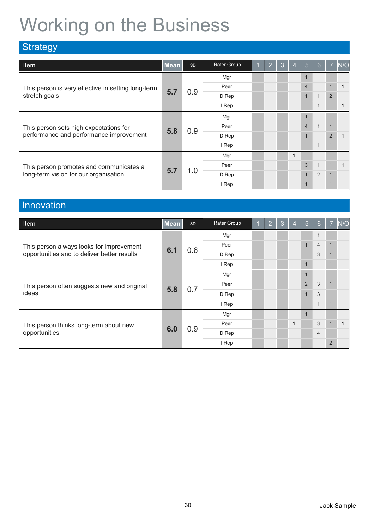## Working on the Business

| <b>Strategy</b>                                                                  |             |           |             |   |                |   |                |                |              |                |     |
|----------------------------------------------------------------------------------|-------------|-----------|-------------|---|----------------|---|----------------|----------------|--------------|----------------|-----|
| Item                                                                             | <b>Mean</b> | <b>SD</b> | Rater Group | и | $\overline{2}$ | 3 | $\overline{4}$ | 5              | 6            | $\overline{7}$ | N/O |
| This person is very effective in setting long-term<br>stretch goals              |             |           | Mgr         |   |                |   |                |                |              |                |     |
|                                                                                  |             |           | Peer        |   |                |   |                | $\overline{4}$ |              | $\blacksquare$ |     |
|                                                                                  | 5.7         | 0.9       | D Rep       |   |                |   |                |                |              |                |     |
|                                                                                  |             |           | I Rep       |   |                |   |                |                | $\mathbf 1$  |                |     |
| This person sets high expectations for                                           |             |           | Mgr         |   |                |   |                |                |              |                |     |
|                                                                                  | 5.8         | 0.9       | Peer        |   |                |   | $\overline{4}$ |                | $\mathbf{1}$ | 1              |     |
| performance and performance improvement                                          |             |           | D Rep       |   |                |   |                |                |              | $\overline{2}$ |     |
|                                                                                  |             |           | I Rep       |   |                |   |                |                | $\mathbf{1}$ | 1              |     |
|                                                                                  |             |           | Mgr         |   |                |   | $\mathbf 1$    |                |              |                |     |
| This person promotes and communicates a<br>long-term vision for our organisation |             |           | Peer        |   |                |   |                | 3              | $\mathbf{1}$ | $\mathbf{1}$   |     |
|                                                                                  | 5.7         | 1.0       | D Rep       |   |                |   |                |                | 2            | 1              |     |
|                                                                                  |             |           | I Rep       |   |                |   |                |                |              | $\overline{1}$ |     |

### Innovation

| <b>Item</b>                                                                             | <b>Mean</b> | SD                           | Rater Group | 1            | $\overline{2}$ | 3 | $\overline{4}$ | 5              | 6              | $\overline{7}$ | N/O |
|-----------------------------------------------------------------------------------------|-------------|------------------------------|-------------|--------------|----------------|---|----------------|----------------|----------------|----------------|-----|
| This person always looks for improvement<br>opportunities and to deliver better results |             |                              | Mgr         |              |                |   |                |                | $\mathbf 1$    |                |     |
|                                                                                         |             |                              | Peer        |              |                |   |                | $\mathbf{1}$   | $\overline{4}$ | $\overline{1}$ |     |
|                                                                                         | 6.1         | 0.6                          | D Rep       |              |                |   |                | 3              | 1              |                |     |
|                                                                                         |             |                              | I Rep       |              |                |   |                |                |                | 1              |     |
| This person often suggests new and original                                             |             |                              | Mgr         |              |                |   |                |                |                |                |     |
|                                                                                         |             |                              | Peer        |              |                |   |                | $\overline{2}$ | 3              |                |     |
| ideas                                                                                   |             | 0.7<br>5.8<br>D Rep<br>I Rep |             | $\mathbf{1}$ | 3              |   |                |                |                |                |     |
|                                                                                         |             |                              |             |              |                |   |                |                | $\mathbf{1}$   | $\mathbf{1}$   |     |
|                                                                                         |             |                              | Mgr         |              |                |   |                |                |                |                |     |
| This person thinks long-term about new<br>opportunities                                 |             |                              | Peer        |              |                |   | $\mathbf 1$    |                | 3              | 1              |     |
|                                                                                         | 6.0         | 0.9                          | D Rep       |              |                |   |                |                | $\overline{4}$ |                |     |
|                                                                                         |             |                              | I Rep       |              |                |   |                |                |                | $\overline{2}$ |     |